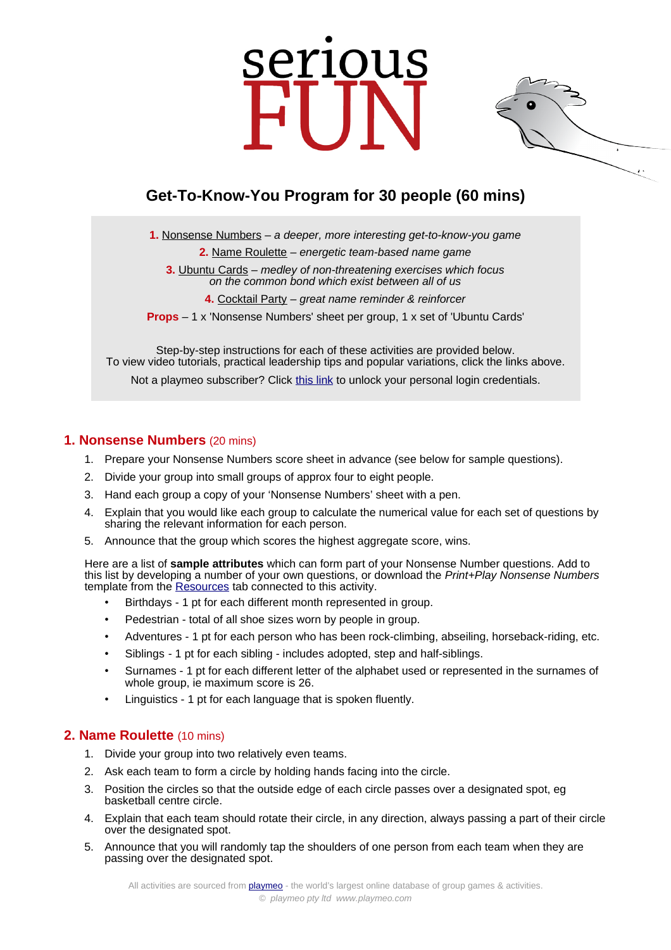# serious



**1.** [Nonsense Numbers](https://www.playmeo.com/activities/ice-breaker-get-to-know-you-games/nonsense-numbers/) – a deeper, more interesting get-to-know-you game

**2.** [Name Roulette](https://www.playmeo.com/activities/ice-breaker-get-to-know-you-games/name-roulette/) – energetic team-based name game

**3.** [Ubuntu Cards](https://www.playmeo.com/activities/ice-breaker-get-to-know-you-games/ubuntu-cards/) – medley of non-threatening exercises which focus on the common bond which exist between all of us

**4.** [Cocktail Party](https://www.playmeo.com/activities/ice-breaker-get-to-know-you-games/cocktail-party/) – great name reminder & reinforcer

**Props** – 1 x 'Nonsense Numbers' sheet per group, 1 x set of 'Ubuntu Cards'

Step-by-step instructions for each of these activities are provided below. To view video tutorials, practical leadership tips and popular variations, click the links above. Not a playmeo subscriber? Click [this link](http://www.playmeo.com/serious-fun-offer) to unlock your personal login credentials.

# **1. Nonsense Numbers** (20 mins)

- 1. Prepare your Nonsense Numbers score sheet in advance (see below for sample questions).
- 2. Divide your group into small groups of approx four to eight people.
- 3. Hand each group a copy of your 'Nonsense Numbers' sheet with a pen.
- 4. Explain that you would like each group to calculate the numerical value for each set of questions by sharing the relevant information for each person.
- 5. Announce that the group which scores the highest aggregate score, wins.

Here are a list of **sample attributes** which can form part of your Nonsense Number questions. Add to this list by developing a number of your own questions, or download the Print+Play Nonsense Numbers template from the [Resources](https://www.playmeo.com/activities/ice-breaker-get-to-know-you-games/nonsense-numbers/) tab connected to this activity.

- Birthdays 1 pt for each different month represented in group.
- Pedestrian total of all shoe sizes worn by people in group.
- Adventures 1 pt for each person who has been rock-climbing, abseiling, horseback-riding, etc.
- Siblings 1 pt for each sibling includes adopted, step and half-siblings.
- Surnames 1 pt for each different letter of the alphabet used or represented in the surnames of whole group, ie maximum score is 26.
- Linguistics 1 pt for each language that is spoken fluently.

## **2. Name Roulette** (10 mins)

- 1. Divide your group into two relatively even teams.
- 2. Ask each team to form a circle by holding hands facing into the circle.
- 3. Position the circles so that the outside edge of each circle passes over a designated spot, eg basketball centre circle.
- 4. Explain that each team should rotate their circle, in any direction, always passing a part of their circle over the designated spot.
- 5. Announce that you will randomly tap the shoulders of one person from each team when they are passing over the designated spot.